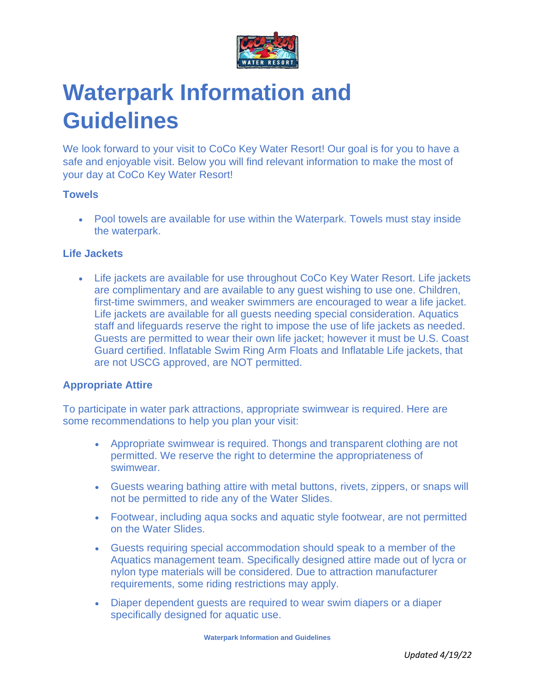

# **Waterpark Information and Guidelines**

We look forward to your visit to CoCo Key Water Resort! Our goal is for you to have a safe and enjoyable visit. Below you will find relevant information to make the most of your day at CoCo Key Water Resort!

# **Towels**

• Pool towels are available for use within the Waterpark. Towels must stay inside the waterpark.

# **Life Jackets**

• Life jackets are available for use throughout CoCo Key Water Resort. Life jackets are complimentary and are available to any guest wishing to use one. Children, first-time swimmers, and weaker swimmers are encouraged to wear a life jacket. Life jackets are available for all guests needing special consideration. Aquatics staff and lifeguards reserve the right to impose the use of life jackets as needed. Guests are permitted to wear their own life jacket; however it must be U.S. Coast Guard certified. Inflatable Swim Ring Arm Floats and Inflatable Life jackets, that are not USCG approved, are NOT permitted.

# **Appropriate Attire**

To participate in water park attractions, appropriate swimwear is required. Here are some recommendations to help you plan your visit:

- Appropriate swimwear is required. Thongs and transparent clothing are not permitted. We reserve the right to determine the appropriateness of swimwear.
- Guests wearing bathing attire with metal buttons, rivets, zippers, or snaps will not be permitted to ride any of the Water Slides.
- Footwear, including aqua socks and aquatic style footwear, are not permitted on the Water Slides.
- Guests requiring special accommodation should speak to a member of the Aquatics management team. Specifically designed attire made out of lycra or nylon type materials will be considered. Due to attraction manufacturer requirements, some riding restrictions may apply.
- Diaper dependent guests are required to wear swim diapers or a diaper specifically designed for aquatic use.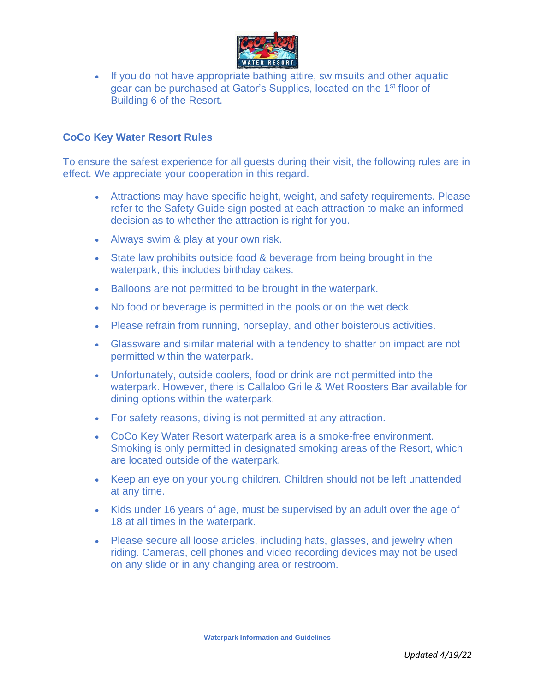

• If you do not have appropriate bathing attire, swimsuits and other aquatic gear can be purchased at Gator's Supplies, located on the 1st floor of Building 6 of the Resort.

# **CoCo Key Water Resort Rules**

To ensure the safest experience for all guests during their visit, the following rules are in effect. We appreciate your cooperation in this regard.

- Attractions may have specific height, weight, and safety requirements. Please refer to the Safety Guide sign posted at each attraction to make an informed decision as to whether the attraction is right for you.
- Always swim & play at your own risk.
- State law prohibits outside food & beverage from being brought in the waterpark, this includes birthday cakes.
- Balloons are not permitted to be brought in the waterpark.
- No food or beverage is permitted in the pools or on the wet deck.
- Please refrain from running, horseplay, and other boisterous activities.
- Glassware and similar material with a tendency to shatter on impact are not permitted within the waterpark.
- Unfortunately, outside coolers, food or drink are not permitted into the waterpark. However, there is Callaloo Grille & Wet Roosters Bar available for dining options within the waterpark.
- For safety reasons, diving is not permitted at any attraction.
- CoCo Key Water Resort waterpark area is a smoke-free environment. Smoking is only permitted in designated smoking areas of the Resort, which are located outside of the waterpark.
- Keep an eye on your young children. Children should not be left unattended at any time.
- Kids under 16 years of age, must be supervised by an adult over the age of 18 at all times in the waterpark.
- Please secure all loose articles, including hats, glasses, and jewelry when riding. Cameras, cell phones and video recording devices may not be used on any slide or in any changing area or restroom.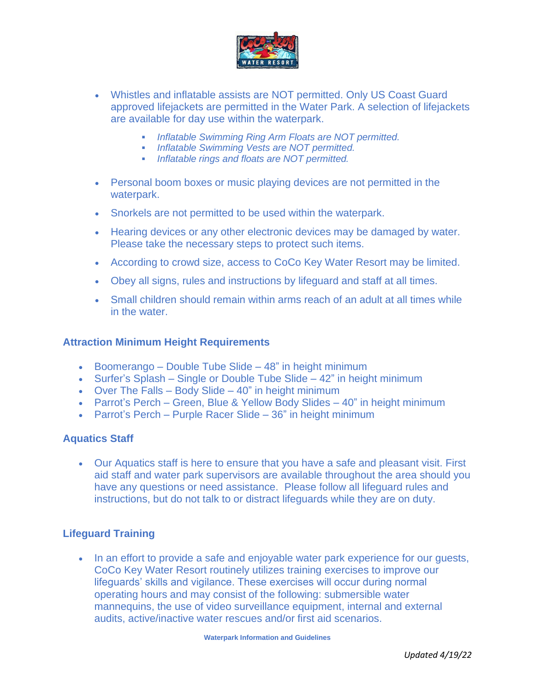

- Whistles and inflatable assists are NOT permitted. Only US Coast Guard approved lifejackets are permitted in the Water Park. A selection of lifejackets are available for day use within the waterpark.
	- *Inflatable Swimming Ring Arm Floats are NOT permitted.*
	- *Inflatable Swimming Vests are NOT permitted.*
	- *Inflatable rings and floats are NOT permitted.*
- Personal boom boxes or music playing devices are not permitted in the waterpark.
- Snorkels are not permitted to be used within the waterpark.
- Hearing devices or any other electronic devices may be damaged by water. Please take the necessary steps to protect such items.
- According to crowd size, access to CoCo Key Water Resort may be limited.
- Obey all signs, rules and instructions by lifeguard and staff at all times.
- Small children should remain within arms reach of an adult at all times while in the water.

#### **Attraction Minimum Height Requirements**

- Boomerango Double Tube Slide 48" in height minimum
- Surfer's Splash Single or Double Tube Slide 42" in height minimum
- Over The Falls Body Slide 40" in height minimum
- Parrot's Perch Green, Blue & Yellow Body Slides 40" in height minimum
- Parrot's Perch Purple Racer Slide 36" in height minimum

#### **Aquatics Staff**

• Our Aquatics staff is here to ensure that you have a safe and pleasant visit. First aid staff and water park supervisors are available throughout the area should you have any questions or need assistance. Please follow all lifeguard rules and instructions, but do not talk to or distract lifeguards while they are on duty.

## **Lifeguard Training**

• In an effort to provide a safe and enjoyable water park experience for our quests, CoCo Key Water Resort routinely utilizes training exercises to improve our lifeguards' skills and vigilance. These exercises will occur during normal operating hours and may consist of the following: submersible water mannequins, the use of video surveillance equipment, internal and external audits, active/inactive water rescues and/or first aid scenarios.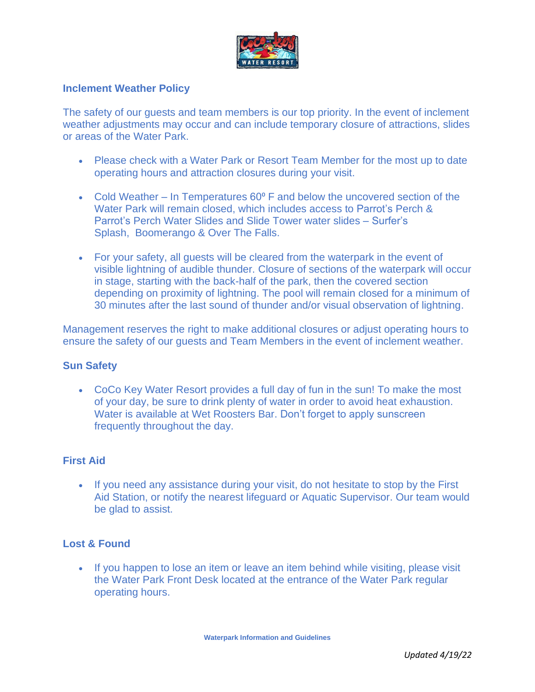

## **Inclement Weather Policy**

The safety of our guests and team members is our top priority. In the event of inclement weather adjustments may occur and can include temporary closure of attractions, slides or areas of the Water Park.

- Please check with a Water Park or Resort Team Member for the most up to date operating hours and attraction closures during your visit.
- Cold Weather In Temperatures  $60^{\circ}$  F and below the uncovered section of the Water Park will remain closed, which includes access to Parrot's Perch & Parrot's Perch Water Slides and Slide Tower water slides – Surfer's Splash, Boomerango & Over The Falls.
- For your safety, all guests will be cleared from the waterpark in the event of visible lightning of audible thunder. Closure of sections of the waterpark will occur in stage, starting with the back-half of the park, then the covered section depending on proximity of lightning. The pool will remain closed for a minimum of 30 minutes after the last sound of thunder and/or visual observation of lightning.

Management reserves the right to make additional closures or adjust operating hours to ensure the safety of our guests and Team Members in the event of inclement weather.

#### **Sun Safety**

• CoCo Key Water Resort provides a full day of fun in the sun! To make the most of your day, be sure to drink plenty of water in order to avoid heat exhaustion. Water is available at Wet Roosters Bar. Don't forget to apply sunscreen frequently throughout the day.

# **First Aid**

• If you need any assistance during your visit, do not hesitate to stop by the First Aid Station, or notify the nearest lifeguard or Aquatic Supervisor. Our team would be glad to assist.

#### **Lost & Found**

• If you happen to lose an item or leave an item behind while visiting, please visit the Water Park Front Desk located at the entrance of the Water Park regular operating hours.